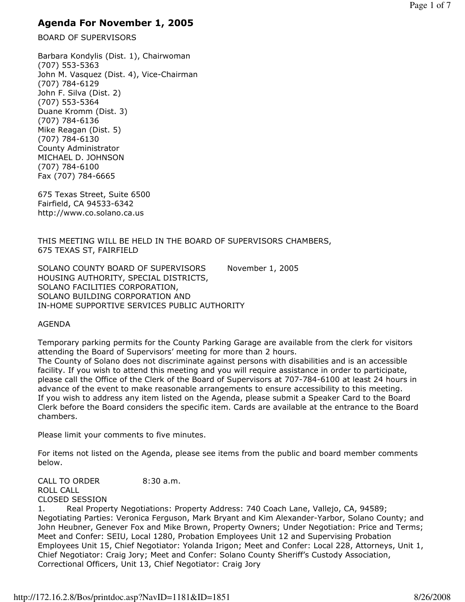# Agenda For November 1, 2005

BOARD OF SUPERVISORS

Barbara Kondylis (Dist. 1), Chairwoman (707) 553-5363 John M. Vasquez (Dist. 4), Vice-Chairman (707) 784-6129 John F. Silva (Dist. 2) (707) 553-5364 Duane Kromm (Dist. 3) (707) 784-6136 Mike Reagan (Dist. 5) (707) 784-6130 County Administrator MICHAEL D. JOHNSON (707) 784-6100 Fax (707) 784-6665

675 Texas Street, Suite 6500 Fairfield, CA 94533-6342 http://www.co.solano.ca.us

THIS MEETING WILL BE HELD IN THE BOARD OF SUPERVISORS CHAMBERS, 675 TEXAS ST, FAIRFIELD

SOLANO COUNTY BOARD OF SUPERVISORS November 1, 2005 HOUSING AUTHORITY, SPECIAL DISTRICTS, SOLANO FACILITIES CORPORATION, SOLANO BUILDING CORPORATION AND IN-HOME SUPPORTIVE SERVICES PUBLIC AUTHORITY

#### AGENDA

chambers.

Temporary parking permits for the County Parking Garage are available from the clerk for visitors attending the Board of Supervisors' meeting for more than 2 hours. The County of Solano does not discriminate against persons with disabilities and is an accessible facility. If you wish to attend this meeting and you will require assistance in order to participate, please call the Office of the Clerk of the Board of Supervisors at 707-784-6100 at least 24 hours in advance of the event to make reasonable arrangements to ensure accessibility to this meeting. If you wish to address any item listed on the Agenda, please submit a Speaker Card to the Board Clerk before the Board considers the specific item. Cards are available at the entrance to the Board

Please limit your comments to five minutes.

For items not listed on the Agenda, please see items from the public and board member comments below.

CALL TO ORDER 8:30 a.m. ROLL CALL CLOSED SESSION

1. Real Property Negotiations: Property Address: 740 Coach Lane, Vallejo, CA, 94589; Negotiating Parties: Veronica Ferguson, Mark Bryant and Kim Alexander-Yarbor, Solano County; and John Heubner, Genever Fox and Mike Brown, Property Owners; Under Negotiation: Price and Terms; Meet and Confer: SEIU, Local 1280, Probation Employees Unit 12 and Supervising Probation Employees Unit 15, Chief Negotiator: Yolanda Irigon; Meet and Confer: Local 228, Attorneys, Unit 1, Chief Negotiator: Craig Jory; Meet and Confer: Solano County Sheriff's Custody Association, Correctional Officers, Unit 13, Chief Negotiator: Craig Jory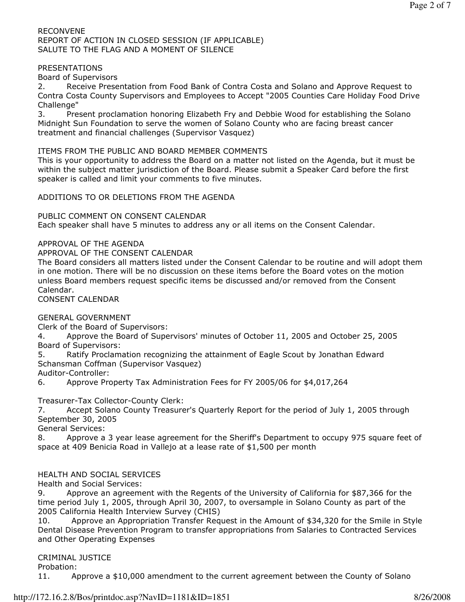#### RECONVENE REPORT OF ACTION IN CLOSED SESSION (IF APPLICABLE) SALUTE TO THE FLAG AND A MOMENT OF SILENCE

#### PRESENTATIONS

#### Board of Supervisors

2. Receive Presentation from Food Bank of Contra Costa and Solano and Approve Request to Contra Costa County Supervisors and Employees to Accept "2005 Counties Care Holiday Food Drive Challenge"

3. Present proclamation honoring Elizabeth Fry and Debbie Wood for establishing the Solano Midnight Sun Foundation to serve the women of Solano County who are facing breast cancer treatment and financial challenges (Supervisor Vasquez)

#### ITEMS FROM THE PUBLIC AND BOARD MEMBER COMMENTS

This is your opportunity to address the Board on a matter not listed on the Agenda, but it must be within the subject matter jurisdiction of the Board. Please submit a Speaker Card before the first speaker is called and limit your comments to five minutes.

ADDITIONS TO OR DELETIONS FROM THE AGENDA

PUBLIC COMMENT ON CONSENT CALENDAR

Each speaker shall have 5 minutes to address any or all items on the Consent Calendar.

APPROVAL OF THE AGENDA

APPROVAL OF THE CONSENT CALENDAR

The Board considers all matters listed under the Consent Calendar to be routine and will adopt them in one motion. There will be no discussion on these items before the Board votes on the motion unless Board members request specific items be discussed and/or removed from the Consent Calendar.

CONSENT CALENDAR

GENERAL GOVERNMENT

Clerk of the Board of Supervisors:

4. Approve the Board of Supervisors' minutes of October 11, 2005 and October 25, 2005 Board of Supervisors:

5. Ratify Proclamation recognizing the attainment of Eagle Scout by Jonathan Edward Schansman Coffman (Supervisor Vasquez)

Auditor-Controller:

6. Approve Property Tax Administration Fees for FY 2005/06 for \$4,017,264

Treasurer-Tax Collector-County Clerk:

7. Accept Solano County Treasurer's Quarterly Report for the period of July 1, 2005 through September 30, 2005

General Services:

8. Approve a 3 year lease agreement for the Sheriff's Department to occupy 975 square feet of space at 409 Benicia Road in Vallejo at a lease rate of \$1,500 per month

#### HEALTH AND SOCIAL SERVICES

Health and Social Services:

9. Approve an agreement with the Regents of the University of California for \$87,366 for the time period July 1, 2005, through April 30, 2007, to oversample in Solano County as part of the 2005 California Health Interview Survey (CHIS)

10. Approve an Appropriation Transfer Request in the Amount of \$34,320 for the Smile in Style Dental Disease Prevention Program to transfer appropriations from Salaries to Contracted Services and Other Operating Expenses

#### CRIMINAL JUSTICE

Probation:

11. Approve a \$10,000 amendment to the current agreement between the County of Solano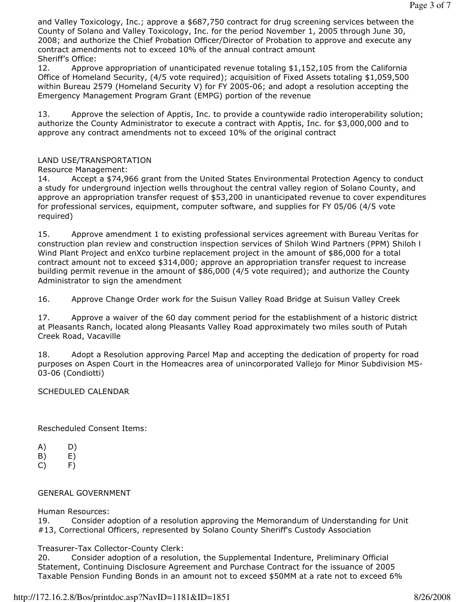and Valley Toxicology, Inc.; approve a \$687,750 contract for drug screening services between the County of Solano and Valley Toxicology, Inc. for the period November 1, 2005 through June 30, 2008; and authorize the Chief Probation Officer/Director of Probation to approve and execute any contract amendments not to exceed 10% of the annual contract amount Sheriff's Office:

12. Approve appropriation of unanticipated revenue totaling \$1,152,105 from the California Office of Homeland Security, (4/5 vote required); acquisition of Fixed Assets totaling \$1,059,500 within Bureau 2579 (Homeland Security V) for FY 2005-06; and adopt a resolution accepting the Emergency Management Program Grant (EMPG) portion of the revenue

13. Approve the selection of Apptis, Inc. to provide a countywide radio interoperability solution; authorize the County Administrator to execute a contract with Apptis, Inc. for \$3,000,000 and to approve any contract amendments not to exceed 10% of the original contract

## LAND USE/TRANSPORTATION

Resource Management:

14. Accept a \$74,966 grant from the United States Environmental Protection Agency to conduct a study for underground injection wells throughout the central valley region of Solano County, and approve an appropriation transfer request of \$53,200 in unanticipated revenue to cover expenditures for professional services, equipment, computer software, and supplies for FY 05/06 (4/5 vote required)

15. Approve amendment 1 to existing professional services agreement with Bureau Veritas for construction plan review and construction inspection services of Shiloh Wind Partners (PPM) Shiloh l Wind Plant Project and enXco turbine replacement project in the amount of \$86,000 for a total contract amount not to exceed \$314,000; approve an appropriation transfer request to increase building permit revenue in the amount of \$86,000 (4/5 vote required); and authorize the County Administrator to sign the amendment

16. Approve Change Order work for the Suisun Valley Road Bridge at Suisun Valley Creek

17. Approve a waiver of the 60 day comment period for the establishment of a historic district at Pleasants Ranch, located along Pleasants Valley Road approximately two miles south of Putah Creek Road, Vacaville

18. Adopt a Resolution approving Parcel Map and accepting the dedication of property for road purposes on Aspen Court in the Homeacres area of unincorporated Vallejo for Minor Subdivision MS-03-06 (Condiotti)

#### SCHEDULED CALENDAR

Rescheduled Consent Items:

- A) D)
- $(B)$   $E)$
- $(C)$  F)

#### GENERAL GOVERNMENT

Human Resources:

19. Consider adoption of a resolution approving the Memorandum of Understanding for Unit #13, Correctional Officers, represented by Solano County Sheriff's Custody Association

Treasurer-Tax Collector-County Clerk:

20. Consider adoption of a resolution, the Supplemental Indenture, Preliminary Official Statement, Continuing Disclosure Agreement and Purchase Contract for the issuance of 2005 Taxable Pension Funding Bonds in an amount not to exceed \$50MM at a rate not to exceed 6%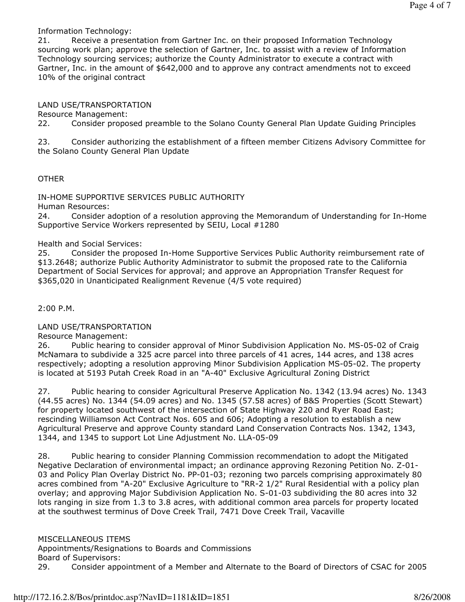Information Technology:

21. Receive a presentation from Gartner Inc. on their proposed Information Technology sourcing work plan; approve the selection of Gartner, Inc. to assist with a review of Information Technology sourcing services; authorize the County Administrator to execute a contract with Gartner, Inc. in the amount of \$642,000 and to approve any contract amendments not to exceed 10% of the original contract

LAND USE/TRANSPORTATION

Resource Management:

22. Consider proposed preamble to the Solano County General Plan Update Guiding Principles

23. Consider authorizing the establishment of a fifteen member Citizens Advisory Committee for the Solano County General Plan Update

### OTHER

IN-HOME SUPPORTIVE SERVICES PUBLIC AUTHORITY

Human Resources:

24. Consider adoption of a resolution approving the Memorandum of Understanding for In-Home Supportive Service Workers represented by SEIU, Local #1280

Health and Social Services:

25. Consider the proposed In-Home Supportive Services Public Authority reimbursement rate of \$13.2648; authorize Public Authority Administrator to submit the proposed rate to the California Department of Social Services for approval; and approve an Appropriation Transfer Request for \$365,020 in Unanticipated Realignment Revenue (4/5 vote required)

2:00 P.M.

LAND USE/TRANSPORTATION

Resource Management:

26. Public hearing to consider approval of Minor Subdivision Application No. MS-05-02 of Craig McNamara to subdivide a 325 acre parcel into three parcels of 41 acres, 144 acres, and 138 acres respectively; adopting a resolution approving Minor Subdivision Application MS-05-02. The property is located at 5193 Putah Creek Road in an "A-40" Exclusive Agricultural Zoning District

27. Public hearing to consider Agricultural Preserve Application No. 1342 (13.94 acres) No. 1343 (44.55 acres) No. 1344 (54.09 acres) and No. 1345 (57.58 acres) of B&S Properties (Scott Stewart) for property located southwest of the intersection of State Highway 220 and Ryer Road East; rescinding Williamson Act Contract Nos. 605 and 606; Adopting a resolution to establish a new Agricultural Preserve and approve County standard Land Conservation Contracts Nos. 1342, 1343, 1344, and 1345 to support Lot Line Adjustment No. LLA-05-09

28. Public hearing to consider Planning Commission recommendation to adopt the Mitigated Negative Declaration of environmental impact; an ordinance approving Rezoning Petition No. Z-01- 03 and Policy Plan Overlay District No. PP-01-03; rezoning two parcels comprising approximately 80 acres combined from "A-20" Exclusive Agriculture to "RR-2 1/2" Rural Residential with a policy plan overlay; and approving Major Subdivision Application No. S-01-03 subdividing the 80 acres into 32 lots ranging in size from 1.3 to 3.8 acres, with additional common area parcels for property located at the southwest terminus of Dove Creek Trail, 7471 Dove Creek Trail, Vacaville

MISCELLANEOUS ITEMS

Appointments/Resignations to Boards and Commissions Board of Supervisors:

29. Consider appointment of a Member and Alternate to the Board of Directors of CSAC for 2005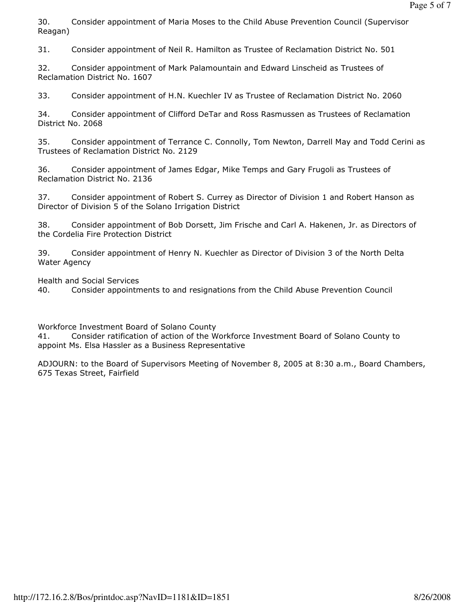30. Consider appointment of Maria Moses to the Child Abuse Prevention Council (Supervisor Reagan)

31. Consider appointment of Neil R. Hamilton as Trustee of Reclamation District No. 501

32. Consider appointment of Mark Palamountain and Edward Linscheid as Trustees of Reclamation District No. 1607

33. Consider appointment of H.N. Kuechler IV as Trustee of Reclamation District No. 2060

34. Consider appointment of Clifford DeTar and Ross Rasmussen as Trustees of Reclamation District No. 2068

35. Consider appointment of Terrance C. Connolly, Tom Newton, Darrell May and Todd Cerini as Trustees of Reclamation District No. 2129

36. Consider appointment of James Edgar, Mike Temps and Gary Frugoli as Trustees of Reclamation District No. 2136

37. Consider appointment of Robert S. Currey as Director of Division 1 and Robert Hanson as Director of Division 5 of the Solano Irrigation District

38. Consider appointment of Bob Dorsett, Jim Frische and Carl A. Hakenen, Jr. as Directors of the Cordelia Fire Protection District

39. Consider appointment of Henry N. Kuechler as Director of Division 3 of the North Delta Water Agency

Health and Social Services

40. Consider appointments to and resignations from the Child Abuse Prevention Council

Workforce Investment Board of Solano County

41. Consider ratification of action of the Workforce Investment Board of Solano County to appoint Ms. Elsa Hassler as a Business Representative

ADJOURN: to the Board of Supervisors Meeting of November 8, 2005 at 8:30 a.m., Board Chambers, 675 Texas Street, Fairfield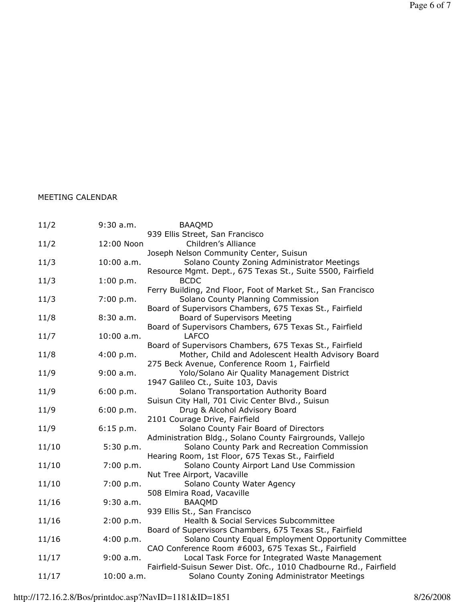# MEETING CALENDAR

| 11/2  | $9:30$ a.m. | <b>BAAQMD</b>                                                     |
|-------|-------------|-------------------------------------------------------------------|
|       |             | 939 Ellis Street, San Francisco                                   |
| 11/2  | 12:00 Noon  | Children's Alliance                                               |
|       |             | Joseph Nelson Community Center, Suisun                            |
| 11/3  | 10:00 a.m.  | Solano County Zoning Administrator Meetings                       |
|       |             | Resource Mgmt. Dept., 675 Texas St., Suite 5500, Fairfield        |
| 11/3  | 1:00 p.m.   | <b>BCDC</b>                                                       |
|       |             | Ferry Building, 2nd Floor, Foot of Market St., San Francisco      |
| 11/3  | 7:00 p.m.   | Solano County Planning Commission                                 |
|       |             | Board of Supervisors Chambers, 675 Texas St., Fairfield           |
| 11/8  | 8:30a.m.    | <b>Board of Supervisors Meeting</b>                               |
|       |             | Board of Supervisors Chambers, 675 Texas St., Fairfield           |
| 11/7  | 10:00 a.m.  | <b>LAFCO</b>                                                      |
|       |             | Board of Supervisors Chambers, 675 Texas St., Fairfield           |
| 11/8  | 4:00 p.m.   | Mother, Child and Adolescent Health Advisory Board                |
|       |             | 275 Beck Avenue, Conference Room 1, Fairfield                     |
| 11/9  | 9:00 a.m.   | Yolo/Solano Air Quality Management District                       |
|       |             | 1947 Galileo Ct., Suite 103, Davis                                |
| 11/9  | 6:00 p.m.   | Solano Transportation Authority Board                             |
|       |             | Suisun City Hall, 701 Civic Center Blvd., Suisun                  |
| 11/9  | 6:00 p.m.   | Drug & Alcohol Advisory Board                                     |
|       |             | 2101 Courage Drive, Fairfield                                     |
| 11/9  | 6:15 p.m.   | Solano County Fair Board of Directors                             |
|       |             | Administration Bldg., Solano County Fairgrounds, Vallejo          |
| 11/10 | 5:30 p.m.   | Solano County Park and Recreation Commission                      |
|       |             | Hearing Room, 1st Floor, 675 Texas St., Fairfield                 |
| 11/10 | 7:00 p.m.   | Solano County Airport Land Use Commission                         |
|       |             | Nut Tree Airport, Vacaville                                       |
| 11/10 | 7:00 p.m.   | Solano County Water Agency                                        |
|       |             | 508 Elmira Road, Vacaville                                        |
| 11/16 | $9:30$ a.m. | <b>BAAQMD</b>                                                     |
|       |             | 939 Ellis St., San Francisco                                      |
| 11/16 | 2:00 p.m.   | Health & Social Services Subcommittee                             |
|       |             | Board of Supervisors Chambers, 675 Texas St., Fairfield           |
| 11/16 | 4:00 p.m.   | Solano County Equal Employment Opportunity Committee              |
|       |             | CAO Conference Room #6003, 675 Texas St., Fairfield               |
| 11/17 | 9:00 a.m.   | Local Task Force for Integrated Waste Management                  |
|       |             | Fairfield-Suisun Sewer Dist. Ofc., 1010 Chadbourne Rd., Fairfield |
| 11/17 | 10:00 a.m.  | Solano County Zoning Administrator Meetings                       |
|       |             |                                                                   |